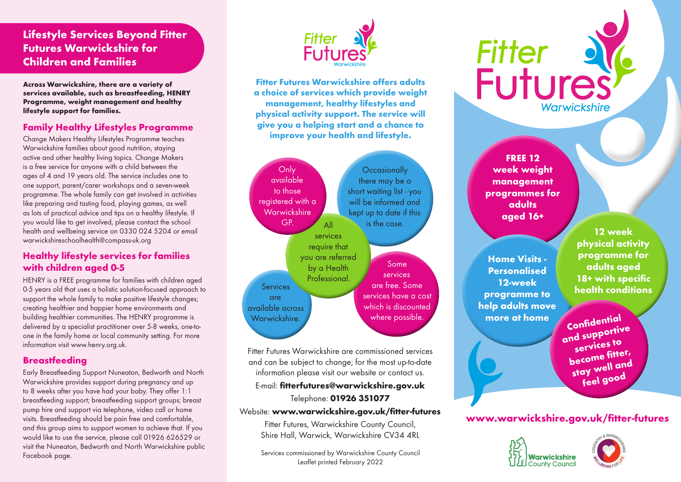# **Lifestyle Services Beyond Fitter Futures Warwickshire for Children and Families**

**Across Warwickshire, there are a variety of services available, such as breastfeeding, HENRY Programme, weight management and healthy lifestyle support for families.**

#### **Family Healthy Lifestyles Programme**

Change Makers Healthy Lifestyles Programme teaches Warwickshire families about good nutrition, staying active and other healthy living topics. Change Makers is a free service for anyone with a child between the ages of 4 and 19 years old. The service includes one to one support, parent/carer workshops and a seven-week programme. The whole family can get involved in activities like preparing and tasting food, playing games, as well as lots of practical advice and tips on a healthy lifestyle. If you would like to get involved, please contact the school health and wellbeing service on 0330 024 5204 or email warwickshireschoolhealth@compass-uk.org

#### **Healthy lifestyle services for families with children aged 0-5**

HENRY is a FREE programme for families with children aged 0-5 years old that uses a holistic solution-focused approach to support the whole family to make positive lifestyle changes; creating healthier and happier home environments and building healthier communities. The HENRY programme is delivered by a specialist practitioner over 5-8 weeks, one-toone in the family home or local community setting. For more information visit www.henry.org.uk.

#### **Breastfeeding**

Early Breastfeeding Support Nuneaton, Bedworth and North Warwickshire provides support during pregnancy and up to 8 weeks after you have had your baby. They offer 1:1 breastfeeding support; breastfeeding support groups; breast pump hire and support via telephone, video call or home visits. Breastfeeding should be pain free and comfortable, and this group aims to support women to achieve that. If you would like to use the service, please call 01926 626529 or visit the Nuneaton, Bedworth and North Warwickshire public Facebook page.



**Fitter Futures Warwickshire offers adults a choice of services which provide weight management, healthy lifestyles and physical activity support. The service will give you a helping start and a chance to improve your health and lifestyle.** 



Fitter Futures Warwickshire are commissioned services and can be subject to change; for the most up-to-date information please visit our website or contact us.

#### E-mail: **fitterfutures@warwickshire.gov.uk**

#### Telephone: **01926 351077**

Website: **www.warwickshire.gov.uk/fitter-futures**

Fitter Futures, Warwickshire County Council, Shire Hall, Warwick, Warwickshire CV34 4RL

Services commissioned by Warwickshire County Council Leaflet printed February 2022

# **Fitter Futures** Warwickshire

**FREE 12 week weight management programmes for adults aged 16+**

**Home Visits - Personalised 12-week programme to help adults move** 

**12 week physical activity programme for adults aged 18+ with specific health conditions**

**more at home Confidential and supportive services to become fitter,**  stay well and **feel good**

# **www.warwickshire.gov.uk/fitter-futures**